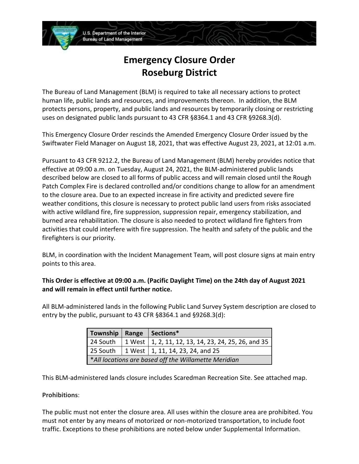# **Emergency Closure Order Roseburg District**

U.S. Department of the Interior **Bureau of Land Management** 

The Bureau of Land Management (BLM) is required to take all necessary actions to protect human life, public lands and resources, and improvements thereon. In addition, the BLM protects persons, property, and public lands and resources by temporarily closing or restricting uses on designated public lands pursuant to 43 CFR §8364.1 and 43 CFR §9268.3(d).

This Emergency Closure Order rescinds the Amended Emergency Closure Order issued by the Swiftwater Field Manager on August 18, 2021, that was effective August 23, 2021, at 12:01 a.m.

Pursuant to 43 CFR 9212.2, the Bureau of Land Management (BLM) hereby provides notice that effective at 09:00 a.m. on Tuesday, August 24, 2021, the BLM-administered public lands described below are closed to all forms of public access and will remain closed until the Rough Patch Complex Fire is declared controlled and/or conditions change to allow for an amendment to the closure area. Due to an expected increase in fire activity and predicted severe fire weather conditions, this closure is necessary to protect public land users from risks associated with active wildland fire, fire suppression, suppression repair, emergency stabilization, and burned area rehabilitation. The closure is also needed to protect wildland fire fighters from activities that could interfere with fire suppression. The health and safety of the public and the firefighters is our priority.

BLM, in coordination with the Incident Management Team, will post closure signs at main entry points to this area.

# **This Order is effective at 09:00 a.m. (Pacific Daylight Time) on the 24th day of August 2021 and will remain in effect until further notice.**

All BLM-administered lands in the following Public Land Survey System description are closed to entry by the public, pursuant to 43 CFR §8364.1 and §9268.3(d):

| Township   Range   Sections*                         |  |                                                                  |
|------------------------------------------------------|--|------------------------------------------------------------------|
|                                                      |  | 24 South   1 West   1, 2, 11, 12, 13, 14, 23, 24, 25, 26, and 35 |
|                                                      |  | 25 South   1 West   1, 11, 14, 23, 24, and 25                    |
| *All locations are based off the Willamette Meridian |  |                                                                  |

This BLM-administered lands closure includes Scaredman Recreation Site. See attached map.

## **Prohibitions**:

The public must not enter the closure area. All uses within the closure area are prohibited. You must not enter by any means of motorized or non-motorized transportation, to include foot traffic. Exceptions to these prohibitions are noted below under Supplemental Information.